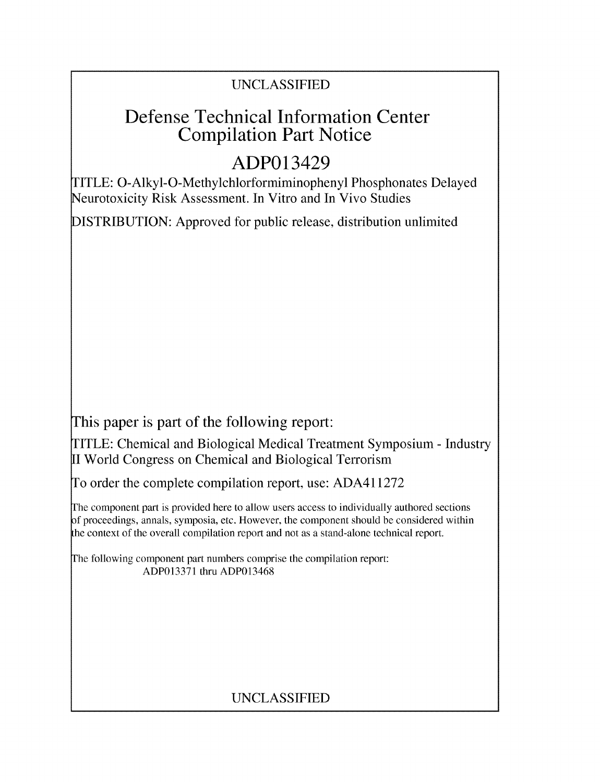# UNCLASSIFIED

# Defense Technical Information Center Compilation Part Notice

# ADP013429

TITLE: O-Alkyl-O-Methylchlorformiminophenyl Phosphonates Delayed Neurotoxicity Risk Assessment. In Vitro and In Vivo Studies

DISTRIBUTION: Approved for public release, distribution unlimited

This paper is part of the following report:

TITLE: Chemical and Biological Medical Treatment Symposium - Industry II World Congress on Chemical and Biological Terrorism

To order the complete compilation report, use: ADA411272

The component part is provided here to allow users access to individually authored sections f proceedings, annals, symposia, etc. However, the component should be considered within the context of the overall compilation report and not as a stand-alone technical report.

The following component part numbers comprise the compilation report: ADP013371 thru ADP013468

# UNCLASSIFIED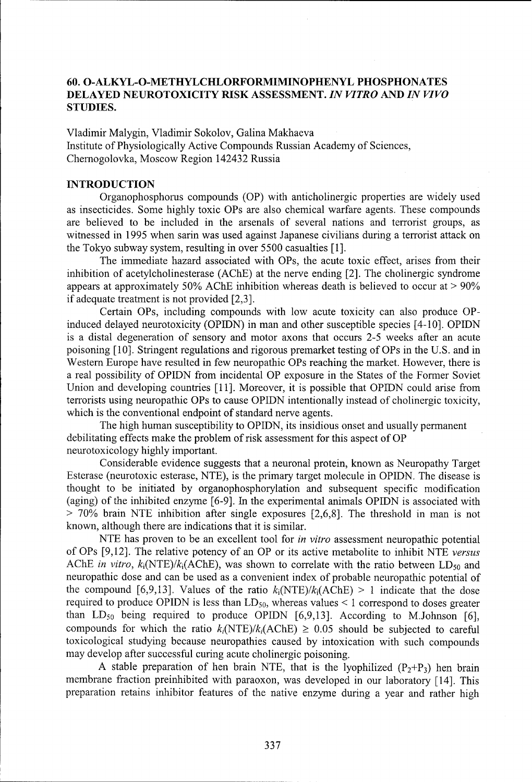## **60.** O-ALKYL-O-METHYLCHLORFORMIMINOPHENYL **PHOSPHONATES** DELAYED NEUROTOXICITY RISK **ASSESSMENT.** *IN VITRO* **AND** *IN VIVO* **STUDIES.**

Vladimir Malygin, Vladimir Sokolov, Galina Makhaeva Institute of Physiologically Active Compounds Russian Academy of Sciences, Chernogolovka, Moscow Region 142432 Russia

## **INTRODUCTION**

Organophosphorus compounds (OP) with anticholinergic properties are widely used as insecticides. Some highly toxic OPs are also chemical warfare agents. These compounds are believed to be included in the arsenals of several nations and terrorist groups, as witnessed in 1995 when sarin was used against Japanese civilians during a terrorist attack on the Tokyo subway system, resulting in over 5500 casualties [1].

The immediate hazard associated with OPs, the acute toxic effect, arises from their inhibition of acetylcholinesterase (AChE) at the nerve ending [2]. The cholinergic syndrome appears at approximately 50% AChE inhibition whereas death is believed to occur at  $> 90\%$ if adequate treatment is not provided [2,3].

Certain OPs, including compounds with low acute toxicity can also produce OPinduced delayed neurotoxicity (OPIDN) in man and other susceptible species [4-10]. OPIDN is a distal degeneration of sensory and motor axons that occurs 2-5 weeks after an acute poisoning [10]. Stringent regulations and rigorous premarket testing of OPs in the U.S. and in Western Europe have resulted in few neuropathic OPs reaching the market. However, there is a real possibility of OPIDN from incidental OP exposure in the States of the Former Soviet Union and developing countries [11]. Moreover, it is possible that OPIDN could arise from terrorists using neuropathic OPs to cause OPIDN intentionally instead of cholinergic toxicity, which is the conventional endpoint of standard nerve agents.

The high human susceptibility to OPIDN, its insidious onset and usually permanent debilitating effects make the problem of risk assessment for this aspect of OP neurotoxicology highly important.

Considerable evidence suggests that a neuronal protein, known as Neuropathy Target Esterase (neurotoxic esterase, NTE), is the primary target molecule in OPIDN. The disease is thought to be initiated by organophosphorylation and subsequent specific modification (aging) of the inhibited enzyme [6-9]. In the experimental animals OPIDN is associated with  $> 70\%$  brain NTE inhibition after single exposures [2,6,8]. The threshold in man is not known, although there are indications that it is similar.

NTE has proven to be an excellent tool for *in vitro* assessment neuropathic potential of OPs [9,12]. The relative potency of an OP or its active metabolite to inhibit NTE *versus* AChE *in vitro,*  $k_i(NTE)/k_i(AChE)$ *, was shown to correlate with the ratio between*  $LD_{50}$  and neuropathic dose and can be used as a convenient index of probable neuropathic potential of the compound [6,9,13]. Values of the ratio  $k_i(NTE)/k_i(AChE) > 1$  indicate that the dose required to produce OPIDN is less than  $LD_{50}$ , whereas values  $\leq 1$  correspond to doses greater than  $LD_{50}$  being required to produce OPIDN [6,9,13]. According to M.Johnson [6], compounds for which the ratio  $k_i(NTE)/k_i(AChE) \ge 0.05$  should be subjected to careful toxicological studying because neuropathies caused by intoxication with such compounds may develop after successful curing acute cholinergic poisoning.

A stable preparation of hen brain NTE, that is the lyophilized  $(P_2+P_3)$  hen brain membrane fraction preinhibited with paraoxon, was developed in our laboratory [14]. This preparation retains inhibitor features of the native enzyme during a year and rather high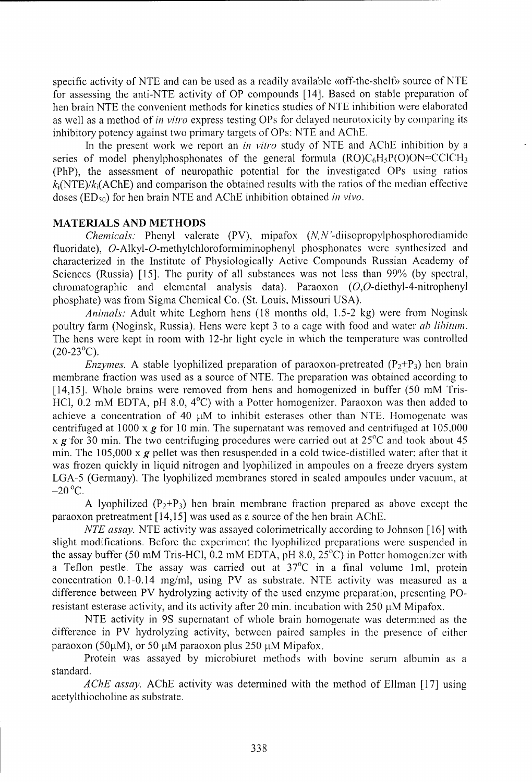specific activity of NTE and can be used as a readily available «off-the-shelf» source of NTE for assessing the anti-NTE activity of OP compounds [14]. Based on stable preparation of hen brain NTE the convenient methods for kinetics studies of NTE inhibition were elaborated as well as a method of *in vitro* express testing OPs for delayed neurotoxicity by comparing its inhibitory potency against two primary targets of OPs: NTE and ACHE.

In the present work we report an *in vitro* study of NTE and AChE inhibition by a series of model phenylphosphonates of the general formula  $(RO)C_6H_5P(O)ON=CCICH_3$ (PhP), the assessment of neuropathic potential for the investigated OPs using ratios  $k_i(NTE)/k_i(AChE)$  and comparison the obtained results with the ratios of the median effective doses (ED<sub>50</sub>) for hen brain NTE and AChE inhibition obtained *in vivo*.

#### MATERIALS **AND METHODS**

*Chemicals:* Phenyl valerate (PV), mipafox (N,N'-diisopropylphosphorodiamido fluoridate), O-Alkyl-O-methylchloroformiminophenyl phosphonates were synthesized and characterized in the Institute of Physiologically Active Compounds Russian Academy of Sciences (Russia) [15]. The purity of all substances was not less than 99% (by spectral, chromatographic and elemental analysis data). Paraoxon (O,O-diethyl-4-nitrophenyl phosphate) was from Sigma Chemical Co. (St. Louis, Missouri USA).

*Animals.:* Adult white Leghorn hens (18 months old, 1.5-2 kg) were from Noginsk poultry farm (Noginsk, Russia). Hens were kept 3 to a cage with food and water *ab libitum*. The hens were kept in room with 12-hr light cycle in which the temperature was controlled  $(20-23^{\circ}C)$ .

*Enzymes.* A stable lyophilized preparation of paraoxon-pretreated  $(P_2+P_3)$  hen brain membrane fraction was used as a source of NTE. The preparation was obtained according to [14,15]. Whole brains were removed from hens and homogenized in buffer (50 mM Tris-HC1, 0.2 mM EDTA, **pH** 8.0, 4°C) with a Potter homogenizer. Paraoxon was then added to achieve a concentration of 40  $\mu$ M to inhibit esterases other than NTE. Homogenate was centrifuged at 1000 x  $g$  for 10 min. The supernatant was removed and centrifuged at 105,000 x g for 30 min. The two centrifuging procedures were carried out at  $25^{\circ}$ C and took about 45 min. The 105,000 x  $g$  pellet was then resuspended in a cold twice-distilled water; after that it was frozen quickly in liquid nitrogen and lyophilized in ampoules on a fireeze dryers system LGA-5 (Germany). The lyophilized membranes stored in sealed ampoules under vacuum, at  $-20$  °C.

A lyophilized  $(P_2+P_3)$  hen brain membrane fraction prepared as above except the paraoxon pretreatment [14,15] was used as a source of the hen brain AChE.

*NTE assay.* NTE activity was assayed colorimetrically according to Johnson [16] with slight modifications. Before the experiment the lyophilized preparations were suspended in the assay buffer (50 mM Tris-HCl, 0.2 mM EDTA, pH 8.0,  $25^{\circ}$ C) in Potter homogenizer with a Teflon pestle. The assay was carried out at 37°C in a final volume Imil, protein concentration 0.1-0.14 mg/mil, using PV as substrate. NTE activity was measured as a difference between PV hydrolyzing activity of the used enzyme preparation, presenting POresistant esterase activity, and its activity after 20 min. incubation with  $250 \mu M$  Mipafox.

NTE activity in 9S supernatant of whole brain homogenate was determined as the difference in PV hydrolyzing activity, between paired samples in the presence of either paraoxon (50 $\mu$ M), or 50  $\mu$ M paraoxon plus 250  $\mu$ M Mipafox.

Protein was assayed by microbiuret methods with bovine serum albumin as a standard.

*AChE assay.* AChE activity was determined with the method of Ellman [17] using acetylthiocholine as substrate.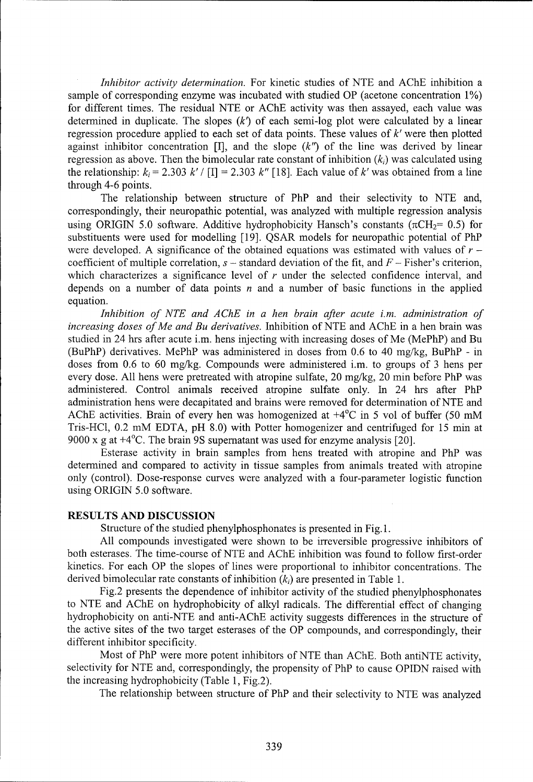*Inhibitor activity determination.* For kinetic studies of NTE and AChE inhibition a sample of corresponding enzyme was incubated with studied OP (acetone concentration 1%) for different times. The residual NTE or AChE activity was then assayed, each value was determined in duplicate. The slopes  $(k')$  of each semi-log plot were calculated by a linear regression procedure applied to each set of data points. These values of *k'* were then plotted against inhibitor concentration  $[I]$ , and the slope  $(k'')$  of the line was derived by linear regression as above. Then the bimolecular rate constant of inhibition  $(k<sub>i</sub>)$  was calculated using the relationship:  $k_i = 2.303 \frac{k'}{[1]} = 2.303 \frac{k''}{[18]}$ . Each value of k' was obtained from a line through 4-6 points.

The relationship between structure of PhP and their selectivity to NTE and, correspondingly, their neuropathic potential, was analyzed with multiple regression analysis using ORIGIN 5.0 software. Additive hydrophobicity Hansch's constants ( $\pi$ CH<sub>2</sub>= 0.5) for substituents were used for modelling [19]. QSAR models for neuropathic potential of PhP were developed. A significance of the obtained equations was estimated with values of  $r$ coefficient of multiple correlation,  $s$  – standard deviation of the fit, and  $F$  – Fisher's criterion, which characterizes a significance level of  $r$  under the selected confidence interval, and depends on a number of data points  $n$  and a number of basic functions in the applied equation.

*Inhibition of NTE and AChE in a hen brain after acute i.m. administration of increasing doses of Me and Bu derivatives.* Inhibition of NTE and AChE in a hen brain was studied in 24 hrs after acute i.m. hens injecting with increasing doses of Me (MePhP) and Bu (BuPhP) derivatives. MePhP was administered in doses from 0.6 to 40 mg/kg, BuPhP - in doses from 0.6 to 60 mg/kg. Compounds were administered i.m. to groups of 3 hens per every dose. All hens were pretreated with atropine sulfate, 20 mg/kg, 20 min before PhP was administered. Control animals received atropine sulfate only. In 24 hrs after PhP administration hens were decapitated and brains were removed for determination of NTE and AChE activities. Brain of every hen was homogenized at  $+4^{\circ}$ C in 5 vol of buffer (50 mM Tris-HCl, 0.2 mM EDTA, pH 8.0) with Potter homogenizer and centrifuged for 15 min at 9000 x g at  $+4^{\circ}$ C. The brain 9S supernatant was used for enzyme analysis [20].

Esterase activity in brain samples from hens treated with atropine and PhP was determined and compared to activity in tissue samples from animals treated with atropine only (control). Dose-response curves were analyzed with a four-parameter logistic function using ORIGIN 5.0 software.

#### **RESULTS AND DISCUSSION**

Structure of the studied phenylphosphonates is presented in Fig. 1.

All compounds investigated were shown to be irreversible progressive inhibitors of both esterases. The time-course of NTE and AChE inhibition was found to follow first-order kinetics. For each OP the slopes of lines were proportional to inhibitor concentrations. The derived bimolecular rate constants of inhibition  $(k_i)$  are presented in Table 1.

Fig.2 presents the dependence of inhibitor activity of the studied phenylphosphonates to NTE and AChE on hydrophobicity of alkyl radicals. The differential effect of changing hydrophobicity on anti-NTE and anti-AChE activity suggests differences in the structure of the active sites of the two target esterases of the OP compounds, and correspondingly, their different inhibitor specificity.

Most of PhP were more potent inhibitors of NTE than AChE. Both antiNTE activity, selectivity for NTE and, correspondingly, the propensity of PhP to cause OPIDN raised with the increasing hydrophobicity (Table 1, Fig.2).

The relationship between structure of PhP and their selectivity to NTE was analyzed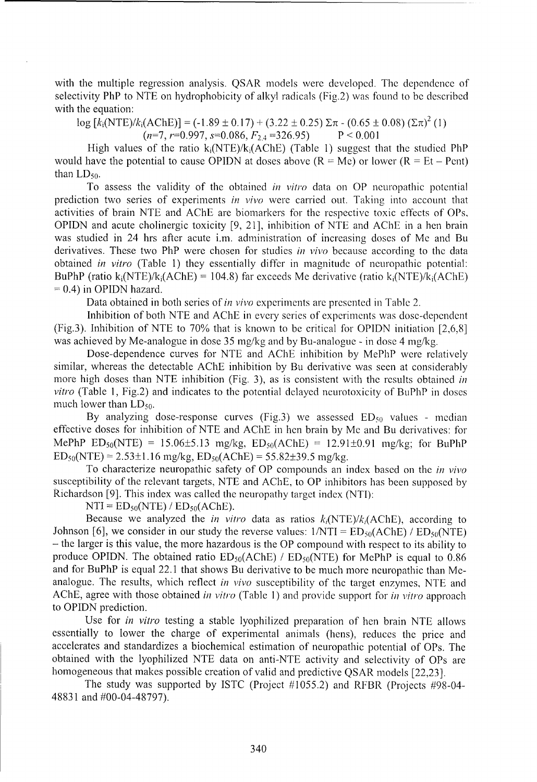with the multiple regression analysis. QSAR models were developed. The dependence of selectivity PhP to NTE on hydrophobicity of alkyl radicals (Fig.2) was found to **be** described with the equation:

log  $[k_i(NTE)/k_i(AChE)] = (-1.89 \pm 0.17) + (3.22 \pm 0.25) \Sigma \pi - (0.65 \pm 0.08) (\Sigma \pi)^2$  (1)  $(n=7, r=0.997, s=0.086, F_{2,4} = 326.95)$  P < 0.001

High values of the ratio k<sub>i</sub>(NTE)/k<sub>i</sub>(AChE) (Table 1) suggest that the studied PhP would have the potential to cause OPIDN at doses above  $(R = Me)$  or lower  $(R = Et - Pent)$ than  $LD_{50}$ .

To assess the validity of the obtained *in vitro* data on OP neuropathic potential prediction two series of experiments in vivo were carried out. Taking into account that activities of brain NTE and AChE are biomarkers for the rcspective toxic effects of OPs, OPIDN and acute cholinergic toxicity [9, 21], inhibition of NTE and AChE in a hen brain was studied in 24 hrs after acute i.m. administration of increasing doses of Me and Bu derivatives. These two PhP were chosen for studies *in* vivo because according to the data obtained *in vitro* (Table 1) they essentially differ in magnitude of neuropathic potential: BuPhP (ratio k<sub>i</sub>(NTE)/k<sub>i</sub>(AChE) = 104.8) far exceeds Me derivative (ratio k<sub>i</sub>(NTE)/k<sub>i</sub>(AChE)  $= 0.4$ ) in OPIDN hazard.

Data obtained in both series of *in vivo* experiments are presented in Table 2.

Inhibition of both NTE and AChE in every series of experiments was dose-dependent (Fig.3). Inhibition of NTE to 70% that is known to be critical for OPIDN initiation [2,6,8] was achieved by Me-analogue in dose 35 mg/kg and by Bu-analogue - in dose 4 mg/kg.

Dose-dependence curves for NTE and AChE inhibition by MePhP were relatively similar, whereas the detectable AChE inhibition by Bu derivative was seen at considerably more high doses than NTE inhibition (Fig. 3), as is consistent with the results obtained in *vitro* (Table 1, Fig.2) and indicates to the potential delayed neurotoxicity of BuPhP in doses much lower than  $LD_{50}$ .

By analyzing dose-response curves (Fig.3) we assessed  $ED_{50}$  values - median effective doses for inhibition of NTE and AChE in hen brain by Me and Bu derivatives: for MePhP  $ED_{50}(NTE) = 15.06\pm5.13$  mg/kg,  $ED_{50}(AChE) = 12.91\pm0.91$  mg/kg; for BuPhP  $ED_{50}(NTE) = 2.53 \pm 1.16$  mg/kg,  $ED_{50}(AChE) = 55.82 \pm 39.5$  mg/kg.

To characterize neuropathic safety of OP compounds an index based on the *in vivo* susceptibility of the relevant targets, NTE and AChE, to OP inhibitors has been supposed by Richardson [9]. This index was called the neuropathy target index (NTI):

 $NTI = ED<sub>50</sub>(NTE) / ED<sub>50</sub>(AChE).$ 

Because we analyzed the *in vitro* data as ratios  $k_i(NTE)/k_i(AChE)$ , according to Johnson [6], we consider in our study the reverse values:  $1/NTI = ED_{50}(AChE) / ED_{50}(NTE)$ - the larger is this value, the more hazardous is the OP compound with respect to its ability to produce OPIDN. The obtained ratio  $ED_{50}(AChE)$  /  $ED_{50}(NTE)$  for MePhP is equal to 0.86 and for BuPhP is equal 22.1 that shows Bu derivative to be much more neuropathic than Meanalogue. The results, which reflect *in vivo* susceptibility of the target enzymes, NTE and AChE, agree with those obtained *in vitro* (Table 1) and provide support for *in vitro* approach to OPIDN prediction.

Use for *in vitro* testing a stable lyophilized preparation of hen brain NTE allows essentially to lower the charge of experimental animals (hens), reduces the price and accelerates and standardizes a biochemical estimation of neuropathic potential of OPs. The obtained with the lyophilized NTE data on anti-NTE activity and selectivity of OPs are homogeneous that makes possible creation of valid and predictive QSAR models [22,23].

The study was supported by ISTC (Project #1055.2) and RFBR (Projects #98-04- 48831 and #00-04-48797).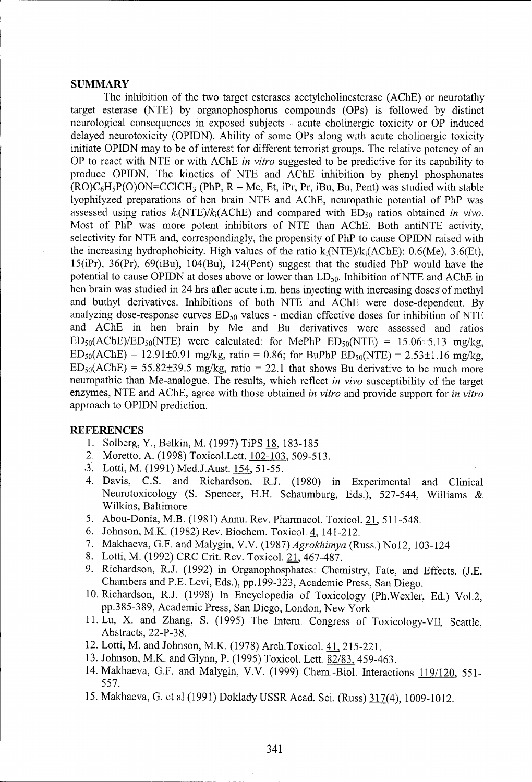#### **SUMMARY**

The inhibition of the two target esterases acetylcholinesterase (AChE) or neurotathy target esterase (NTE) by organophosphorus compounds (OPs) is followed by distinct neurological consequences in exposed subjects - acute cholinergic toxicity or OP induced delayed neurotoxicity (OPIDN). Ability of some OPs along with acute cholinergic toxicity initiate OPIDN may to be of interest for different terrorist groups. The relative potency of an OP to react with NTE or with AChE *in vitro* suggested to be predictive for its capability to produce OPIDN. The kinetics of NTE and AChE inhibition by phenyl phosphonates  $(RO)C_6H_5P(O)ON=CClCH_3$  (PhP, R = Me, Et, iPr, Pr, iBu, Bu, Pent) was studied with stable lyophilyzed preparations of hen brain NTE and AChE, neuropathic potential of PhP was assessed using ratios  $k_i(NTE)/k_i(AChE)$  and compared with  $ED_{50}$  ratios obtained *in vivo*. Most of PhP was more potent inhibitors of NTE than AChE. Both antiNTE activity, selectivity for NTE and, correspondingly, the propensity of PhP to cause OPIDN raised with the increasing hydrophobicity. High values of the ratio  $k_i(NTE)/k_i(AChE)$ : 0.6(Me), 3.6(Et), 15(iPr), 36(Pr), 69(iBu), 104(Bu), 124(Pent) suggest that the studied PhP would have the potential to cause OPIDN at doses above or lower than  $LD_{50}$ . Inhibition of NTE and AChE in hen brain was studied in 24 hrs after acute i.m. hens injecting with increasing doses of methyl and buthyl derivatives. Inhibitions of both NTE and AChE were dose-dependent. By analyzing dose-response curves  $ED_{50}$  values - median effective doses for inhibition of NTE and AChE in hen brain by Me and Bu derivatives were assessed and ratios  $ED<sub>50</sub>(AChE)/ED<sub>50</sub>(NTE)$  were calculated: for MePhP  $ED<sub>50</sub>(NTE) = 15.06±5.13$  mg/kg,  $ED_{50}(AChE) = 12.91 \pm 0.91$  mg/kg, ratio = 0.86; for BuPhP  $ED_{50}(NTE) = 2.53 \pm 1.16$  mg/kg,  $ED_{50}(AChE) = 55.82\pm39.5$  mg/kg, ratio = 22.1 that shows Bu derivative to be much more neuropathic than Me-analogue. The results, which reflect *in vivo* susceptibility of the target enzymes, NTE and AChE, agree with those obtained *in vitro* and provide support for *in vitro* approach to OPIDN prediction.

#### **REFERENCES**

- 1. Solberg, Y., Belkin, M. (1997) TiPS **18,** 183-185
- 2. Moretto, A. (1998) Toxicol.Lett. 102-103, 509-513.
- **.3.** Lotti, M. (1991) Med.J.Aust. 154, 51-55.
- 4. Davis, C.S. and Richardson, R.J. (1980) in Experimental and Clinical Neurotoxicology (S. Spencer, H.H. Schaumburg, Eds.), 527-544, Williams & Wilkins, Baltimore
- 5. Abou-Donia, M.B. (1981) Annu. Rev. Pharmacol. Toxicol. 21, 511-548.
- 6. Johnson, M.K. (1982) Rev. Biochem. Toxicol. 4, 141-212.
- 7. Makhaeva, G.F. and Malygin, V.V. (1987) *Agrokhimya* (Russ.) No12, 103-124
- 8. Lotti, M. (1992) CRC Crit. Rev. Toxicol. 21, 467-487.
- 9. Richardson, R.J. (1992) in Organophosphates: Chemistry, Fate, and Effects. (J.E. Chambers and P.E. Levi, Eds.), pp. 199-323, Academic Press, San Diego.
- 10. Richardson, R.J. (1998) In Encyclopedia of Toxicology (Ph.Wexler, Ed.) Vol.2, pp.<sup>3</sup> 85-389, Academic Press, San Diego, London, New York
- 11. Lu, X. and Zhang, **S.** (1995) The Intern. Congress of Toxicology-VII, Seattle, Abstracts, 22-P-38.
- 12. Lotti, M. and Johnson, M.K. (1978) Arch.Toxicol. 41, 215-22 1.
- 13. Johnson, M.K. and Glynn, P. (1995) Toxicol. Lett. **82/83,** 459-463.
- 14. Makhaeva, G.F. and Malygin, V.V. (1999) Chem.-Biol. Interactions 119/120, 551- 557.
- 15. Makhaeva, G. et al (1991) Doklady USSR Acad. Sci. (Russ) 317(4), 1009-1012.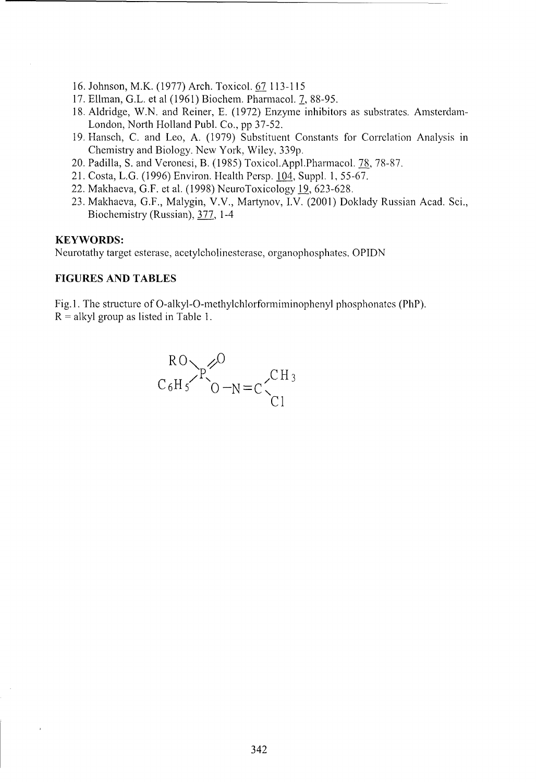- 16. Johnson, M.K. (1977) Arch. Toxicol. 67 113-115
- 17. Ellman, G.L. et al (1961) Biochem. Pharmacol. **7,** 88-95.
- 18. Aldridge, W.N. and Reiner, E. (1972) Enzyme inhibitors as substrates. Amsterdam-London, North Holland Publ. Co., pp 37-52.
- 19. Hansch, C. and Leo, A. (1979) Substituent Constants for Correlation Analysis in Chemistry and Biology. New York, Wiley, 339p.
- 20. Padilla, S. and Veronesi, B. (1985) Toxicol.Appl.Pharmacol. **78,** 78-87.
- 21. Costa, L.G. (1996) Environ. Health Persp. 104, Suppl. 1, 55-67.
- 22. Makhaeva, G.F. et al. (1998) NeuroToxicology **19,** 623-628.
- 23. Makhaeva, G.F., Malygin, V.V., Martynov, I.V. (2001) Doklady Russian Acad. Sci., Biochemistry (Russian), 377, 1-4

### KEYWORDS:

Neurotathy target esterase, acetyleholinesterase, organophosphates. OPIDN

## **FIGURES AND TABLES**

Fig. 1. The structure of O-alkyl-O-methylchlorforminminophenyl phosphonates (PhP).  $R =$  alkyl group as listed in Table 1.

$$
{}^{R0}_{C_6H_5}P^{\sim 0}_{O-N=C}C_{Cl}^{H_3}
$$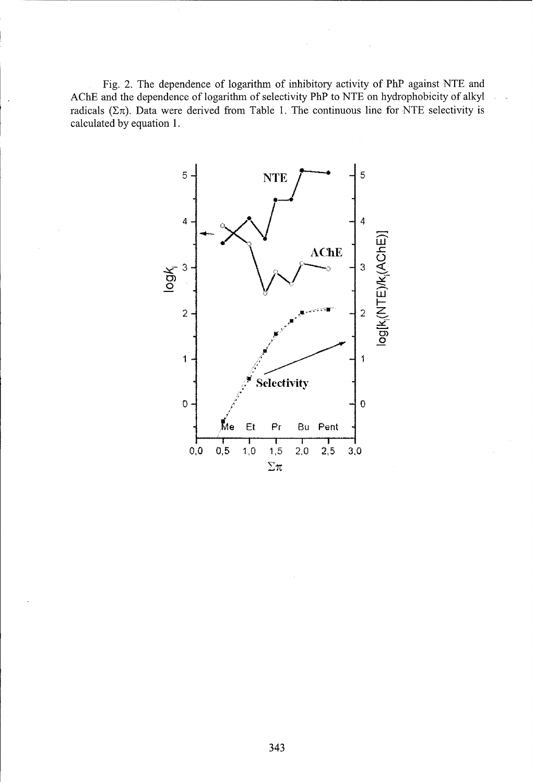Fig. 2. The dependence of logarithm of inhibitory activity of PhP against NTE and AChE and the dependence of logarithm of selectivity PhP to NTE on hydrophobicity of alkyl radicals ( $\Sigma \pi$ ). Data were derived from Table 1. The continuous line for NTE selectivity is calculated by equation 1.

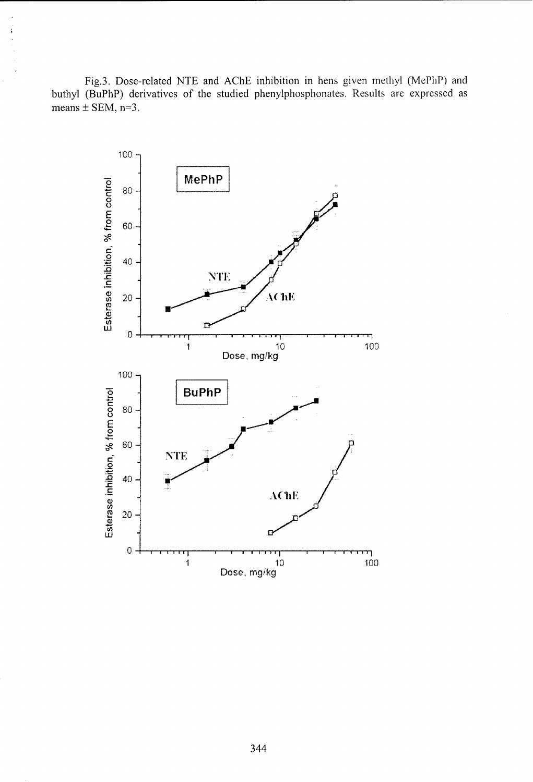Fig.3. Dose-related NTE and AChE inhibition in hens given methyl (MePhP) and buthyl (BuPhP) derivatives of the studied phenylphosphonates. Results are expressed as means  $\pm$  SEM, n=3.